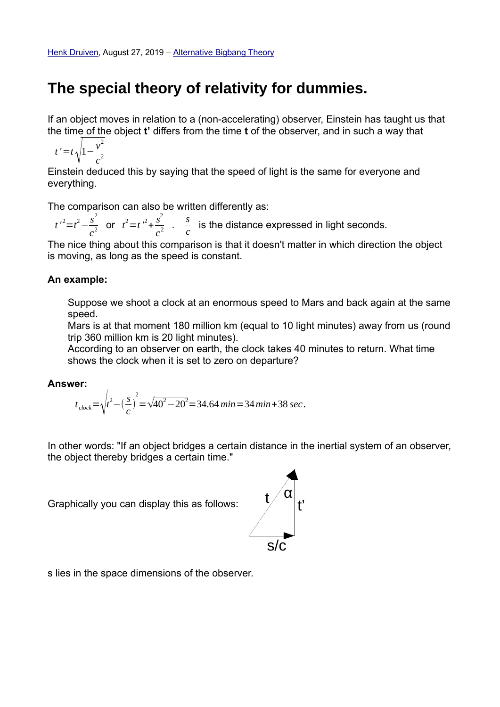## **The special theory of relativity for dummies.**

If an object moves in relation to a (non-accelerating) observer, Einstein has taught us that the time of the object **t'** differs from the time **t** of the observer, and in such a way that

$$
t' = t \sqrt{1 - \frac{v^2}{c^2}}
$$

Einstein deduced this by saying that the speed of light is the same for everyone and everything.

The comparison can also be written differently as:

 $t'^2 = t^2 - \frac{s^2}{2}$  $\frac{s^2}{c^2}$  or  $t^2 = t^2 + \frac{s^2}{c^2}$  $\frac{s^2}{c^2}$  .  $\frac{s}{c}$ *c* is the distance expressed in light seconds.

The nice thing about this comparison is that it doesn't matter in which direction the object is moving, as long as the speed is constant.

#### **An example:**

Suppose we shoot a clock at an enormous speed to Mars and back again at the same speed.

Mars is at that moment 180 million km (equal to 10 light minutes) away from us (round trip 360 million km is 20 light minutes).

According to an observer on earth, the clock takes 40 minutes to return. What time shows the clock when it is set to zero on departure?

#### **Answer:**

$$
t_{clock} = \sqrt{t^2 - \left(\frac{s}{c}\right)^2} = \sqrt{40^2 - 20^2} = 34.64 \text{ min} = 34 \text{ min} + 38 \text{ sec}.
$$

In other words: "If an object bridges a certain distance in the inertial system of an observer, the object thereby bridges a certain time."

Graphically you can display this as follows:



s lies in the space dimensions of the observer.